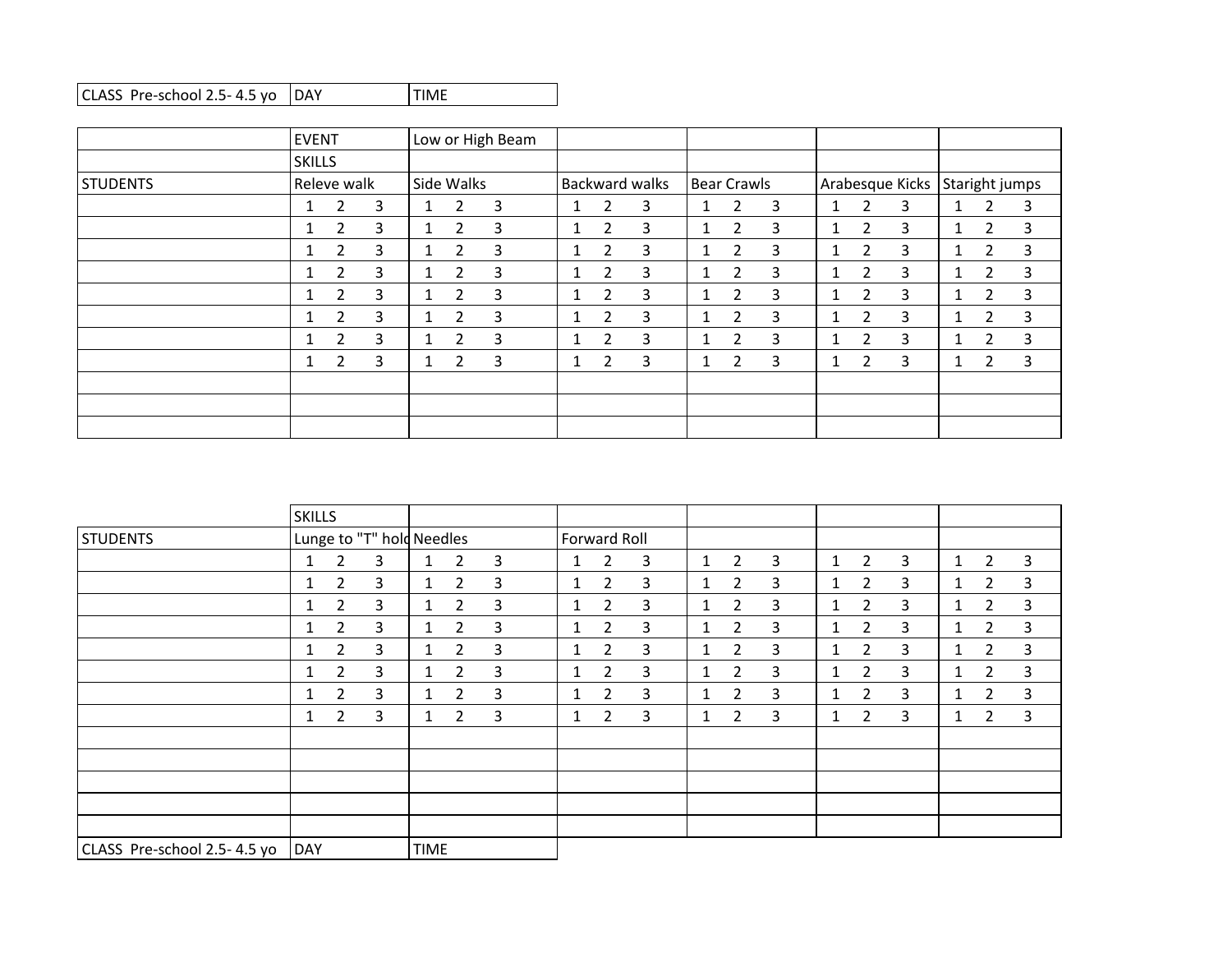|                 | <b>EVENT</b>  |                |   |              |                | Low or High Beam |              |                |                       |             |                |   |   |                |                 |              |                |                |
|-----------------|---------------|----------------|---|--------------|----------------|------------------|--------------|----------------|-----------------------|-------------|----------------|---|---|----------------|-----------------|--------------|----------------|----------------|
|                 | <b>SKILLS</b> |                |   |              |                |                  |              |                |                       |             |                |   |   |                |                 |              |                |                |
| <b>STUDENTS</b> |               | Releve walk    |   |              | Side Walks     |                  |              |                | <b>Backward walks</b> | Bear Crawls |                |   |   |                | Arabesque Kicks |              |                | Staright jumps |
|                 |               | 2              | 3 |              | $\overline{2}$ | 3                | $\mathbf{1}$ | 2              | 3                     |             | 2              | 3 | 1 | 2              | 3               | $1\,$        | $\overline{2}$ | 3              |
|                 |               | $\overline{2}$ | 3 | 1            | $\overline{2}$ | 3                | 1            | $\overline{2}$ | 3                     |             | $\overline{2}$ | 3 | 1 | $\overline{2}$ | 3               | 1.           | $\overline{2}$ | 3              |
|                 | -1            | 2              | 3 | 1            | 2              | 3                | 1            | $\overline{2}$ | 3                     |             | 2              | 3 |   | $\overline{2}$ | 3               | $\mathbf{1}$ | 2              | 3              |
|                 |               | $\overline{2}$ | 3 | $\mathbf{1}$ | $\overline{2}$ | 3                | 1            | 2              | 3                     |             | $\overline{2}$ | 3 | 1 | $\overline{2}$ | 3               | $\mathbf{1}$ | $\overline{2}$ | 3              |
|                 | -1            | 2              | 3 | $\mathbf{1}$ | $\overline{2}$ | 3                | $\mathbf{1}$ | $\overline{2}$ | 3                     | 1           | $\overline{2}$ | 3 | 1 | $\overline{2}$ | 3               | $\mathbf{1}$ | $\overline{2}$ | 3              |
|                 |               | 2              | 3 |              | 2              | 3                |              | 2              | 3                     |             | $\overline{2}$ | 3 |   | $\overline{2}$ | 3               | $\mathbf{1}$ | $\overline{2}$ | 3              |
|                 |               | $\overline{2}$ | 3 | $\mathbf{1}$ | 2              | 3                | $\mathbf{1}$ | $\overline{2}$ | 3                     |             | $\overline{2}$ | 3 | 1 | $\overline{2}$ | 3               | $\mathbf{1}$ | 2              | 3              |
|                 |               | $\overline{2}$ | 3 |              | 2              | 3                | 1            | 2              | 3                     |             | 2              | 3 | 1 | $\overline{2}$ | 3               | $\mathbf{1}$ | $\overline{2}$ | 3              |
|                 |               |                |   |              |                |                  |              |                |                       |             |                |   |   |                |                 |              |                |                |
|                 |               |                |   |              |                |                  |              |                |                       |             |                |   |   |                |                 |              |                |                |
|                 |               |                |   |              |                |                  |              |                |                       |             |                |   |   |                |                 |              |                |                |

|                             | <b>SKILLS</b> |                |                           |              |                       |              |              |                |   |              |                |   |              |                |                |              |                |   |
|-----------------------------|---------------|----------------|---------------------------|--------------|-----------------------|--------------|--------------|----------------|---|--------------|----------------|---|--------------|----------------|----------------|--------------|----------------|---|
| <b>STUDENTS</b>             |               |                | Lunge to "T" hold Needles |              |                       |              | Forward Roll |                |   |              |                |   |              |                |                |              |                |   |
|                             | 1             | $\overline{2}$ | 3                         | $\mathbf{1}$ | $\overline{2}$        | 3            | $\mathbf{1}$ | $\overline{2}$ | 3 | $\mathbf{1}$ | $\overline{2}$ | 3 | $\mathbf{1}$ | $\overline{2}$ | 3              | $\mathbf{1}$ | $\overline{2}$ | 3 |
|                             |               | $\overline{2}$ | 3                         | $\mathbf{1}$ | $\overline{2}$        | $\mathbf{3}$ | $\mathbf{1}$ | $\overline{2}$ | 3 | 1            | $\overline{2}$ | 3 | 1            | $\overline{2}$ | 3              | $\mathbf{1}$ | $\overline{2}$ | 3 |
|                             |               | $\overline{2}$ | 3                         | 1            | 2                     | 3            | 1            | 2              | 3 |              | $\overline{2}$ | 3 | 1            | $\mathbf{2}$   | $\overline{3}$ | $\mathbf{1}$ | 2              | 3 |
|                             |               | $\overline{2}$ | 3                         | $\mathbf{1}$ | $\overline{2}$        | 3            | $\mathbf{1}$ | $\overline{2}$ | 3 | $\mathbf{1}$ | $\overline{2}$ | 3 | 1            | $\overline{2}$ | 3              | $\mathbf{1}$ | $\overline{2}$ | 3 |
|                             | 1             | $\overline{2}$ | 3                         | $\mathbf{1}$ | $\overline{2}$        | 3            | $\mathbf{1}$ | $\overline{2}$ | 3 | $\mathbf{1}$ | $\overline{2}$ | 3 | 1            | $\overline{2}$ | 3              | $\mathbf{1}$ | $\overline{2}$ | 3 |
|                             |               | $\overline{2}$ | 3                         | 1            | 2                     | 3            | 1            | 2              | 3 |              | $\overline{2}$ | 3 | 1            | 2              | 3              | $\mathbf{1}$ | 2              | 3 |
|                             | 1             | $\overline{2}$ | 3                         | $\mathbf{1}$ | $\overline{2}$        | 3            | $\mathbf{1}$ | $\overline{2}$ | 3 | 1            | $\overline{2}$ | 3 | 1            | $\overline{2}$ | $\overline{3}$ | $\mathbf{1}$ | $\overline{2}$ | 3 |
|                             | 1             | $\overline{2}$ | 3                         | $\mathbf{1}$ | $\mathbf{2}^{\prime}$ | 3            | $\mathbf{1}$ | $\overline{2}$ | 3 | $\mathbf{1}$ | $\overline{2}$ | 3 | 1            | $\overline{2}$ | 3              | $\mathbf{1}$ | $\overline{2}$ | 3 |
|                             |               |                |                           |              |                       |              |              |                |   |              |                |   |              |                |                |              |                |   |
|                             |               |                |                           |              |                       |              |              |                |   |              |                |   |              |                |                |              |                |   |
|                             |               |                |                           |              |                       |              |              |                |   |              |                |   |              |                |                |              |                |   |
|                             |               |                |                           |              |                       |              |              |                |   |              |                |   |              |                |                |              |                |   |
|                             |               |                |                           |              |                       |              |              |                |   |              |                |   |              |                |                |              |                |   |
| CLASS Pre-school 2.5-4.5 yo | DAY           |                |                           | <b>TIME</b>  |                       |              |              |                |   |              |                |   |              |                |                |              |                |   |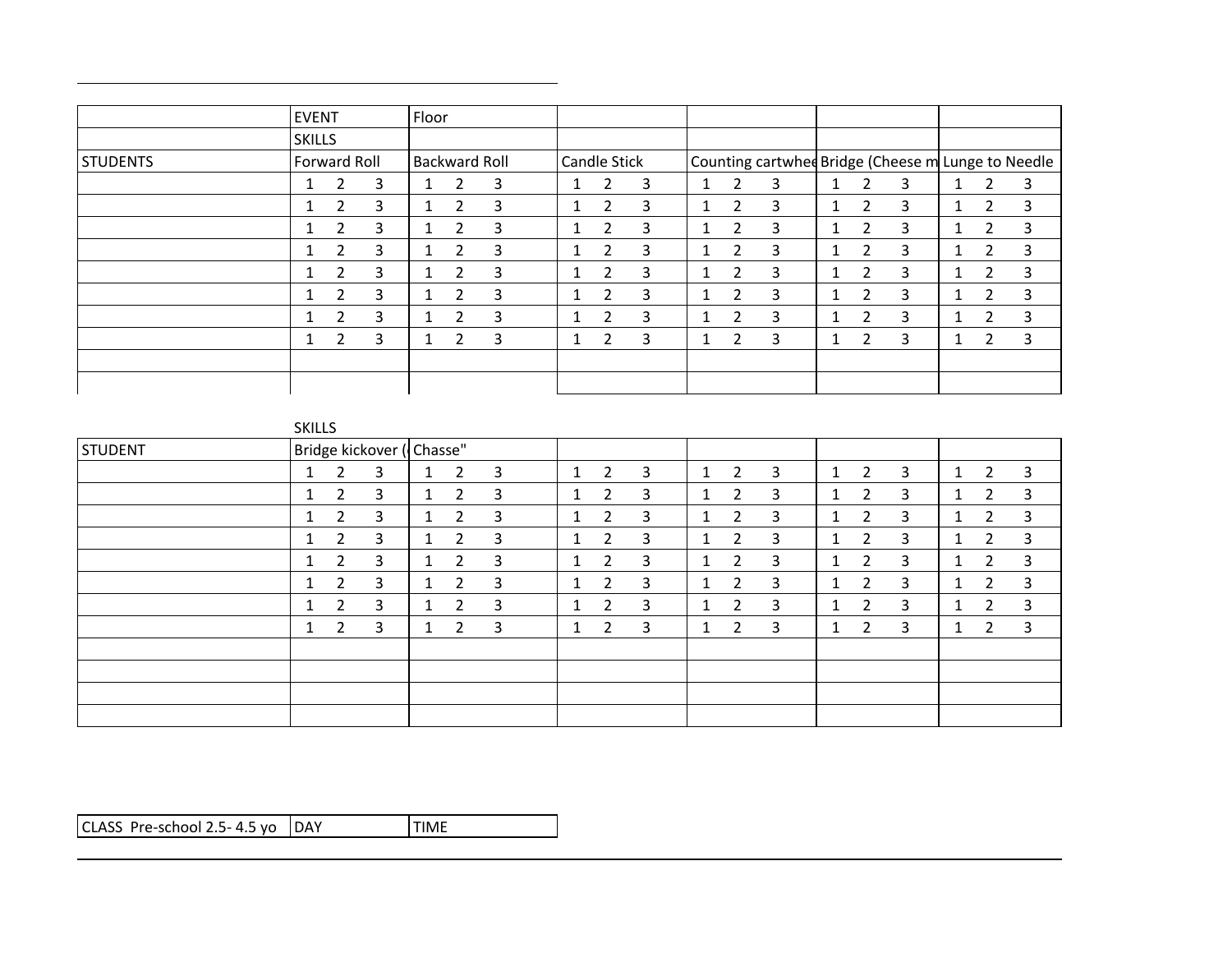|                 | EVENT                    |                |   | Floor                    |                |   |                     |                |   |  |                |                                                    |   |                |   |              |                |   |
|-----------------|--------------------------|----------------|---|--------------------------|----------------|---|---------------------|----------------|---|--|----------------|----------------------------------------------------|---|----------------|---|--------------|----------------|---|
|                 | <b>SKILLS</b>            |                |   |                          |                |   |                     |                |   |  |                |                                                    |   |                |   |              |                |   |
| <b>STUDENTS</b> | Forward Roll             |                |   | Backward Roll            |                |   | <b>Candle Stick</b> |                |   |  |                | Counting cartwhed Bridge (Cheese m Lunge to Needle |   |                |   |              |                |   |
|                 |                          | $\overline{2}$ | 3 |                          | 2              | 3 | 1                   | 2              | 3 |  | 2              | 3                                                  | 4 | 2              | 3 | $\mathbf{1}$ | $\overline{2}$ | 3 |
|                 |                          | 2              | 3 |                          | 2              | 3 | 1                   | $\overline{2}$ | 3 |  | 2              | 3                                                  |   | 2              | 3 | $\mathbf{1}$ | 2              | 3 |
|                 |                          | 2              | 3 |                          | 2              | 3 | 1                   | 2              | 3 |  | 2              | 3                                                  | 1 | 2              | 3 | $\mathbf{1}$ | $\overline{2}$ | 3 |
|                 | $\overline{\phantom{a}}$ | 2              | 3 | $\overline{\phantom{a}}$ | $\overline{2}$ | 3 | $\perp$             | 2              | 3 |  | 2              | 3                                                  | 1 | $\overline{2}$ | 3 | $\mathbf{L}$ | $\overline{2}$ | 3 |
|                 |                          | 2              | 3 |                          | 2              | 3 | 1                   | 2              | 3 |  | 2              | 3                                                  |   | 2              | 3 |              | 2              | 3 |
|                 |                          | 2              | 3 |                          | 2              | 3 | $\perp$             | $\overline{2}$ | 3 |  | 2              | 3                                                  | 1 | 2              | 3 | $\perp$      | $\overline{2}$ | 3 |
|                 |                          | 2              | 3 |                          | 2              | 3 | $\perp$             | 2              | 3 |  | $\overline{2}$ | 3                                                  |   | $\overline{2}$ | 3 | л.           | $\mathcal{P}$  | 3 |
|                 |                          | 2              | 3 |                          | $\overline{2}$ | 3 | 1                   | $\overline{2}$ | 3 |  | 2              | 3                                                  | 1 | 2              | 3 | $\mathbf{1}$ | $\overline{2}$ | 3 |
|                 |                          |                |   |                          |                |   |                     |                |   |  |                |                                                    |   |                |   |              |                |   |
|                 |                          |                |   |                          |                |   |                     |                |   |  |                |                                                    |   |                |   |              |                |   |

| \ I L |  |
|-------|--|
|       |  |

| <b>STUDENT</b> |   |                | Bridge kickover (Chasse" |   |                |   |              |   |   |   |                |   |   |                |   |                |                |
|----------------|---|----------------|--------------------------|---|----------------|---|--------------|---|---|---|----------------|---|---|----------------|---|----------------|----------------|
|                | 1 | $\overline{2}$ | 3                        | 1 | $\overline{2}$ | 3 | $\mathbf{1}$ | 2 | 3 | 1 | $\overline{2}$ | 3 | 1 | $\overline{2}$ | 3 | $\overline{2}$ | 3              |
|                |   | 2              | 3                        |   | 2              | 3 |              | 2 | 3 |   | 2              | 3 |   | 2              | 3 | $\overline{2}$ | 3              |
|                |   | 2              | 3                        |   | 2              | 3 | 1            | 2 | 3 | и | 2              | 3 | 1 | 2              | 3 | 2              | 3              |
|                | щ | 2              | 3                        | 1 | 2              | 3 | 1            | 2 | 3 | и | 2              | 3 | 1 | $\overline{2}$ | 3 | $\overline{2}$ | $\overline{3}$ |
|                |   | $\overline{2}$ | 3                        | 1 | 2              | 3 | 1            | 2 | 3 | и | 2              | 3 | 1 | $\overline{2}$ | 3 | $\overline{2}$ | $\overline{3}$ |
|                |   | 2              | 3                        | 1 | $\overline{2}$ | 3 |              | 2 | 3 | ٠ | 2              | 3 | 1 | $\overline{2}$ | 3 | $\overline{2}$ | 3              |
|                |   | 2              | 3                        | 1 | $\mathcal{P}$  | 3 |              | 2 | 3 | и | 2              | 3 | 1 | $\overline{2}$ | 3 | 2              | 3              |
|                |   | 2              | 3                        | 1 | າ              | 3 |              | 2 | 3 | и | 2              | 3 | 1 | $\overline{2}$ | 3 | 2              | 3              |
|                |   |                |                          |   |                |   |              |   |   |   |                |   |   |                |   |                |                |
|                |   |                |                          |   |                |   |              |   |   |   |                |   |   |                |   |                |                |
|                |   |                |                          |   |                |   |              |   |   |   |                |   |   |                |   |                |                |
|                |   |                |                          |   |                |   |              |   |   |   |                |   |   |                |   |                |                |

 $CLASS Pre-school 2.5-4.5, yo | DAY$  TIME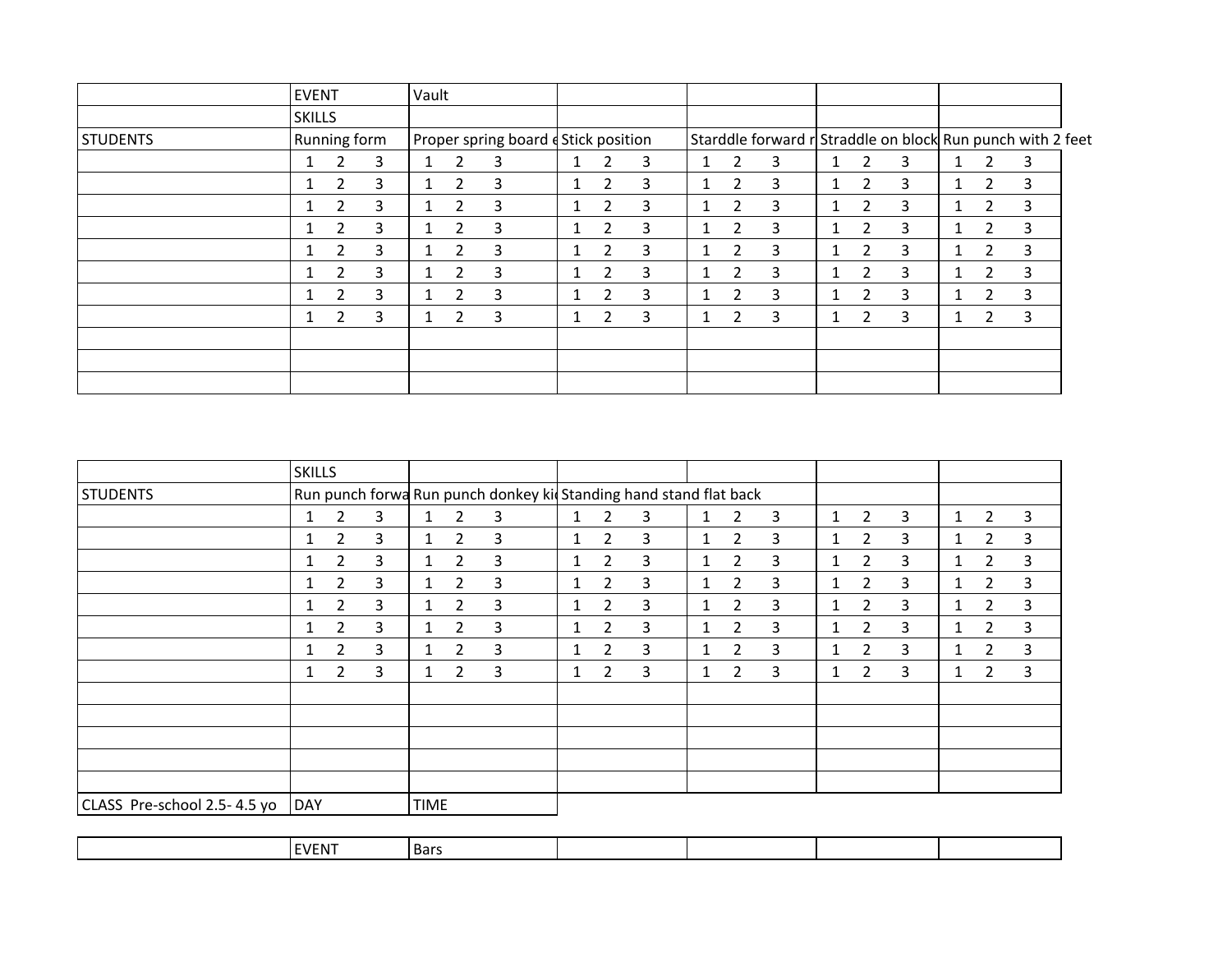|                 | <b>EVENT</b>  |                |   | Vault |                |                                      |              |                       |   |              |                |                                                            |                |   |              |                |   |  |
|-----------------|---------------|----------------|---|-------|----------------|--------------------------------------|--------------|-----------------------|---|--------------|----------------|------------------------------------------------------------|----------------|---|--------------|----------------|---|--|
|                 | <b>SKILLS</b> |                |   |       |                |                                      |              |                       |   |              |                |                                                            |                |   |              |                |   |  |
| <b>STUDENTS</b> | Running form  |                |   |       |                | Proper spring board d Stick position |              |                       |   |              |                | Starddle forward r Straddle on block Run punch with 2 feet |                |   |              |                |   |  |
|                 | $\mathbf{1}$  | 2              | 3 |       | 2              | 3                                    | 1            | 2                     | 3 | 1.           | 2              | 3                                                          | $\mathcal{P}$  | 3 | 1            | $\overline{2}$ | 3 |  |
|                 | 1             | 2              | 3 |       | 2              | 3                                    | $\mathbf{1}$ | $\overline{2}$        | 3 | 1            | 2              | 3                                                          | 2              | 3 | 1            | $\overline{2}$ | 3 |  |
|                 |               | $\overline{2}$ | 3 |       | $\overline{2}$ | 3                                    |              | $\overline{2}$        | 3 |              | 2              | 3                                                          | $\overline{2}$ | 3 |              | $\overline{2}$ | 3 |  |
|                 | $\mathbf{1}$  | $\overline{2}$ | 3 |       | $\mathcal{P}$  | 3                                    | $\mathbf{1}$ | $\overline{2}$        | 3 | 1.           | $\overline{2}$ | 3                                                          | $\mathcal{P}$  | 3 | $\mathbf{1}$ | $\mathcal{P}$  | 3 |  |
|                 |               | 2              | 3 |       | 2              | 3                                    |              | $\overline{2}$        | 3 |              | 2              | 3                                                          | $\overline{2}$ | 3 |              | $\overline{2}$ | 3 |  |
|                 |               | 2              | 3 |       | $\overline{2}$ | 3                                    |              | $\overline{2}$        | 3 | 1.           | 2              | 3                                                          | 2              | 3 |              | $\overline{2}$ | 3 |  |
|                 |               | 2              | 3 |       | 2              | 3                                    | $\mathbf{1}$ | 2                     | 3 | 1.           | 2              | 3                                                          | າ              | 3 | $\mathbf{1}$ | $\mathcal{P}$  | 3 |  |
|                 | 1             | 2              | 3 |       | 2              | 3                                    | 1            | $\mathbf{2}^{\prime}$ | 3 | $\mathbf{1}$ | 2              | 3                                                          | $\overline{2}$ | 3 | 1            | $\overline{2}$ | 3 |  |
|                 |               |                |   |       |                |                                      |              |                       |   |              |                |                                                            |                |   |              |                |   |  |
|                 |               |                |   |       |                |                                      |              |                       |   |              |                |                                                            |                |   |              |                |   |  |
|                 |               |                |   |       |                |                                      |              |                       |   |              |                |                                                            |                |   |              |                |   |  |

|                             | <b>SKILLS</b> |                |   |              |                       |                                                                    |              |                |   |              |                       |   |   |                |   |              |                |   |
|-----------------------------|---------------|----------------|---|--------------|-----------------------|--------------------------------------------------------------------|--------------|----------------|---|--------------|-----------------------|---|---|----------------|---|--------------|----------------|---|
| <b>STUDENTS</b>             |               |                |   |              |                       | Run punch forwa Run punch donkey kid Standing hand stand flat back |              |                |   |              |                       |   |   |                |   |              |                |   |
|                             |               | $\overline{2}$ | 3 | $\mathbf{1}$ | $\overline{2}$        | 3                                                                  | 1            | 2              | 3 | 1            | $\overline{2}$        | 3 | 1 | $\overline{2}$ | 3 | 1            | $\overline{2}$ | 3 |
|                             | 1             | $\overline{2}$ | 3 | 1            | 2                     | 3                                                                  | 1            | 2              | 3 | $\mathbf{1}$ | $\overline{2}$        | 3 | 1 | $\mathbf{2}$   | 3 | $\mathbf{1}$ | $\overline{2}$ | 3 |
|                             |               | $\overline{2}$ | 3 | 1            | $\overline{2}$        | 3                                                                  | $\mathbf{1}$ | 2              | 3 | 1            | $\overline{2}$        | 3 | 1 | $\overline{2}$ | 3 | $\mathbf{1}$ | 2              | 3 |
|                             |               | $\overline{2}$ | 3 | $\mathbf{1}$ | $\overline{2}$        | 3                                                                  | $\mathbf{1}$ | $\overline{2}$ | 3 |              | $\overline{2}$        | 3 | 1 | $\overline{2}$ | 3 | $\mathbf{1}$ | $\overline{2}$ | 3 |
|                             |               | 2              | 3 | 1            | 2                     | 3                                                                  | 1            | $\overline{2}$ | 3 | 1            | 2                     | 3 | 1 | $\overline{2}$ | 3 | 1            | 2              | 3 |
|                             | 1             | $\overline{2}$ | 3 | $\mathbf{1}$ | $\overline{2}$        | 3                                                                  | $\mathbf{1}$ | $\overline{2}$ | 3 | $\mathbf{1}$ | $\overline{2}$        | 3 | 1 | $\overline{2}$ | 3 | $\mathbf{1}$ | $\overline{2}$ | 3 |
|                             | 1             | $\overline{2}$ | 3 | $\mathbf{1}$ | $\mathbf{2}^{\prime}$ | 3                                                                  | $\mathbf{1}$ | $\overline{2}$ | 3 | 1            | $\mathbf{2}^{\prime}$ | 3 | 1 | $\overline{2}$ | 3 | $\mathbf{1}$ | $\overline{2}$ | 3 |
|                             |               | $\overline{2}$ | 3 | $\mathbf{1}$ | $\overline{2}$        | 3                                                                  | $\mathbf{1}$ | $\overline{2}$ | 3 | $\mathbf{1}$ | $\overline{2}$        | 3 | 1 | $\overline{2}$ | 3 | $\mathbf{1}$ | 2              | 3 |
|                             |               |                |   |              |                       |                                                                    |              |                |   |              |                       |   |   |                |   |              |                |   |
|                             |               |                |   |              |                       |                                                                    |              |                |   |              |                       |   |   |                |   |              |                |   |
|                             |               |                |   |              |                       |                                                                    |              |                |   |              |                       |   |   |                |   |              |                |   |
|                             |               |                |   |              |                       |                                                                    |              |                |   |              |                       |   |   |                |   |              |                |   |
|                             |               |                |   |              |                       |                                                                    |              |                |   |              |                       |   |   |                |   |              |                |   |
| CLASS Pre-school 2.5-4.5 yo | DAY           |                |   | <b>TIME</b>  |                       |                                                                    |              |                |   |              |                       |   |   |                |   |              |                |   |

| $\sim$ $  -$<br>$D^{\text{enc}}$<br>VFNI<br>l Ddi |
|---------------------------------------------------|
|---------------------------------------------------|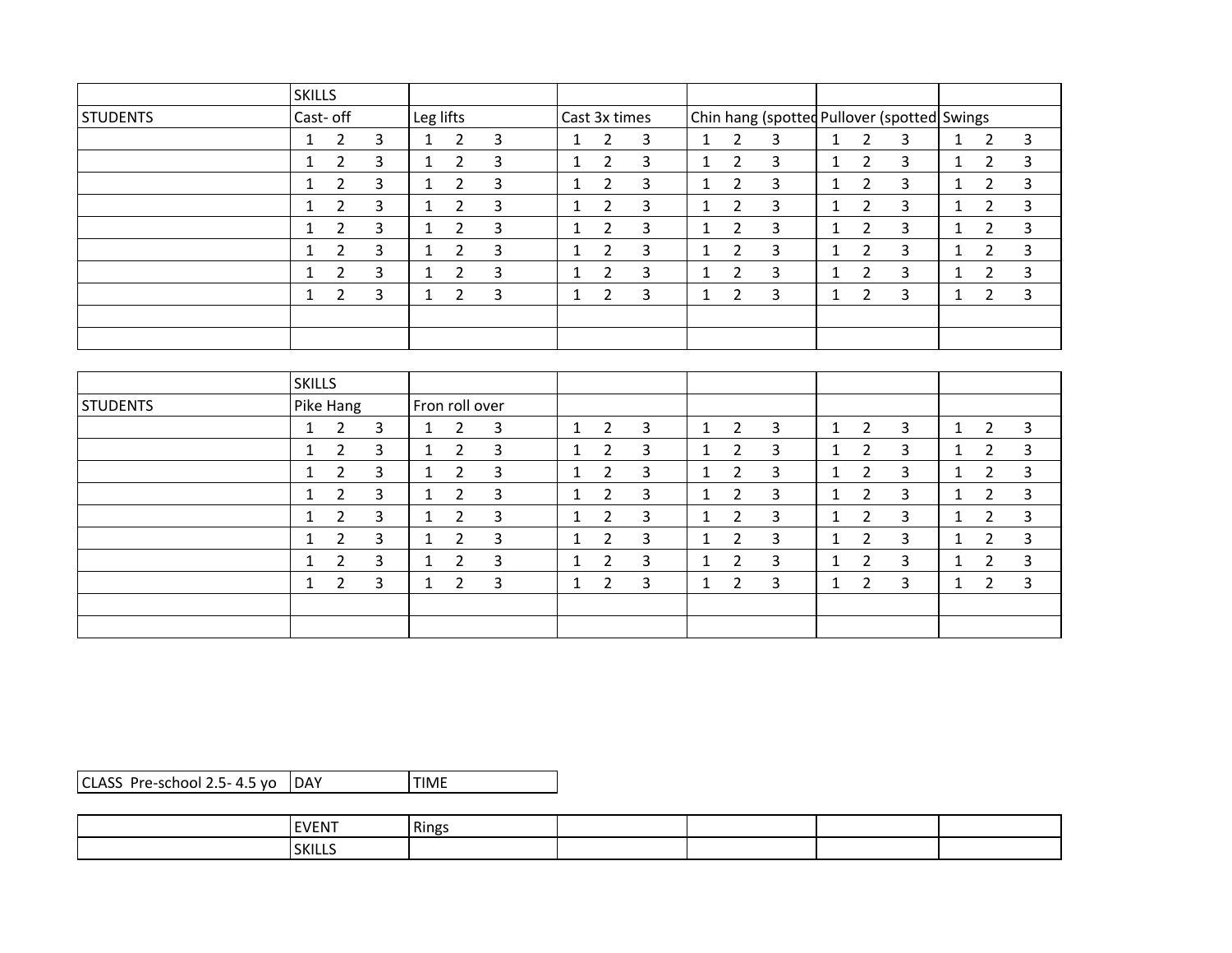|                 | <b>SKILLS</b>                        |                                              |                                     |                                        |                                             |                                              |
|-----------------|--------------------------------------|----------------------------------------------|-------------------------------------|----------------------------------------|---------------------------------------------|----------------------------------------------|
| <b>STUDENTS</b> | Cast- off                            | Leg lifts                                    | Cast 3x times                       |                                        | Chin hang (spotted Pullover (spotted Swings |                                              |
|                 | 3<br>2<br>1                          | 3<br>2<br>1                                  | 3<br>2<br>1                         | 2<br>3<br>1                            | 2<br>3<br>1                                 | 3<br>$\overline{2}$<br>1                     |
|                 | $\overline{2}$<br>3<br>$\mathbf{1}$  | 3<br>$\overline{2}$<br>$\mathbf{1}$          | 3<br>$\overline{2}$<br>$\mathbf{1}$ | $\overline{2}$<br>3<br>$\mathbf{1}$    | $\overline{2}$<br>3<br>1                    | 3<br>$\overline{2}$<br>$\mathbf{1}$          |
|                 | 2<br>3<br>1                          | 3<br>2<br>1                                  | 3<br>2<br>1                         | $\overline{2}$<br>3<br>$1\overline{ }$ | 2<br>3<br>1                                 | 3<br>$\overline{2}$<br>1                     |
|                 | 3<br>2<br>1                          | 3<br>2<br>$\mathbf{1}$                       | 3<br>2<br>1                         | $\overline{2}$<br>3<br>$\mathbf{1}$    | $\overline{2}$<br>3<br>1                    | 3<br>$\overline{2}$<br>1                     |
|                 | 3<br>2                               | 3<br>2<br>1                                  | 3<br>2                              | 2<br>3<br>1                            | 2<br>3                                      | 3<br>2<br>1                                  |
|                 | 3<br>$\overline{2}$<br>1             | 3<br>$\overline{2}$<br>$\mathbf{1}$          | 3<br>$\overline{2}$<br>1            | $\overline{2}$<br>3<br>1               | $\overline{2}$<br>3<br>$\mathbf{1}$         | 3<br>$\overline{2}$<br>$\mathbf{1}$          |
|                 | $\overline{2}$<br>3                  | 3<br>2<br>$\mathbf{1}$                       | 3<br>2<br>1                         | 2<br>3<br>1                            | 2<br>3<br>1                                 | 3<br>2<br>$\mathbf{1}$                       |
|                 | 3<br>$\overline{2}$<br>1             | 3<br>2<br>$\mathbf{1}$                       | 3<br>2<br>1                         | 2<br>3<br>$\mathbf{1}$                 | $\overline{2}$<br>3<br>1                    | 3<br>$\overline{2}$<br>1                     |
|                 |                                      |                                              |                                     |                                        |                                             |                                              |
|                 |                                      |                                              |                                     |                                        |                                             |                                              |
|                 |                                      |                                              |                                     |                                        |                                             |                                              |
|                 | <b>SKILLS</b>                        |                                              |                                     |                                        |                                             |                                              |
| <b>STUDENTS</b> | Pike Hang                            | Fron roll over                               |                                     |                                        |                                             |                                              |
|                 | 3<br>$\overline{2}$<br>1             | 3<br>$\mathbf{2}$<br>$\mathbf{1}$            | 3<br>2<br>1                         | 2<br>3<br>$\mathbf{1}$                 | $\overline{2}$<br>3<br>1                    | 3<br>$\overline{2}$<br>$\mathbf{1}$          |
|                 | $\overline{a}$<br>$\mathbf{D}$<br>-1 | $\overline{\mathbf{c}}$<br>$\mathbf{D}$<br>1 | $\overline{\mathbf{a}}$<br>າ<br>-1  | $\mathbf{D}$<br>$\overline{a}$<br>1    | C.<br>$\overline{\mathbf{c}}$<br>1          | $\overline{\mathbf{a}}$<br>$\mathbf{r}$<br>1 |

| <b>SIUDENIS</b> | Prike Hang     |   | TFron foll over |   |   |                |   |   |                         |                |   |              |   |
|-----------------|----------------|---|-----------------|---|---|----------------|---|---|-------------------------|----------------|---|--------------|---|
|                 | $\overline{2}$ | 3 |                 | 2 | 3 | 2              | 3 | 2 | $\overline{\mathbf{3}}$ | $\mathbf{2}$   | 3 | 2            | 3 |
|                 | 2              | 3 |                 | 2 | 3 | 2              | 3 | 2 | 3                       | 2              | 3 | 2            | 3 |
|                 | 2              | 3 |                 | 2 | 3 | 2              | 3 | 2 | 3                       | 2              | 3 | 2            | 3 |
|                 | 2              | 3 |                 | 2 | 3 | $\overline{2}$ | 3 | 2 | 3                       | 2              | 3 |              | 3 |
|                 | $\overline{2}$ | 3 |                 | 2 | 3 | 2              | 3 | 2 | 3                       | $\overline{2}$ | 3 | $\mathbf{2}$ | 3 |
|                 | 2              | 3 |                 | 2 | 3 | 2              | 3 | 2 | 3                       | $\overline{2}$ | 3 | 2            | 3 |
|                 | 2              | 3 |                 | 2 | 3 | 2              | 3 | 2 | 3                       | $\overline{2}$ | 3 | $\mathbf{2}$ | 3 |
|                 | 2              | 3 |                 | າ | 3 | $\mathcal{P}$  | 3 | 2 | 3                       | $\overline{2}$ | 3 |              | 3 |
|                 |                |   |                 |   |   |                |   |   |                         |                |   |              |   |
|                 |                |   |                 |   |   |                |   |   |                         |                |   |              |   |

| CLASS Pre-school 2.5- 4.5 yo DAY | <b>TIME</b> |
|----------------------------------|-------------|
|                                  |             |

| <b>EVENT</b> | Rings |  |  |
|--------------|-------|--|--|
| SKILLS       |       |  |  |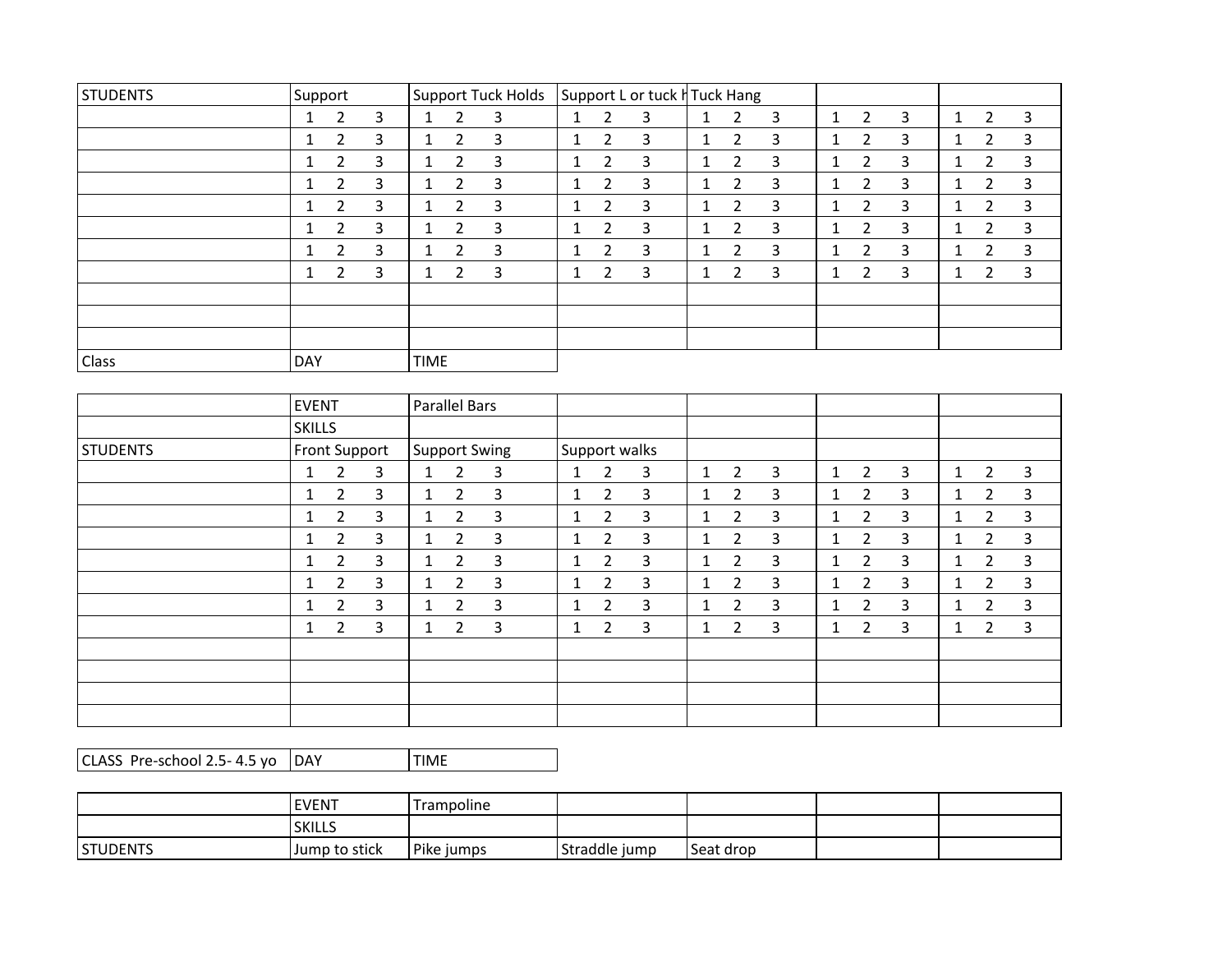| <b>STUDENTS</b> | Support    |                |   | Support Tuck Holds |                |   | Support L or tuck H Tuck Hang |                |   |              |                |   |  |                |   |              |                |   |
|-----------------|------------|----------------|---|--------------------|----------------|---|-------------------------------|----------------|---|--------------|----------------|---|--|----------------|---|--------------|----------------|---|
|                 |            | $\overline{2}$ | 3 | $\mathbf{1}$       | $\overline{2}$ | 3 |                               | 2              | 3 |              | 2              | 3 |  | 2              | 3 |              | $\overline{2}$ | 3 |
|                 | $\perp$    | $\overline{2}$ | 3 | $\mathbf{1}$       | $\overline{2}$ | 3 |                               | 2              | 3 | $1\,$        | $\overline{2}$ | 3 |  | $\overline{2}$ | 3 |              | $\overline{2}$ | 3 |
|                 | $\perp$    | 2              | 3 | $\mathbf{1}$       | 2              | 3 |                               | 2              | 3 | 1            | 2              | 3 |  | $\overline{2}$ | 3 |              | 2              | 3 |
|                 |            | 2              | 3 | $\mathbf{1}$       | $\overline{2}$ | 3 | 1                             | 2              | 3 | 1            | 2              | 3 |  | 2              | 3 | $\mathbf{1}$ | 2              | 3 |
|                 | 1          | 2              | 3 | $\mathbf{1}$       | $\overline{2}$ | 3 | 1                             | 2              | 3 | $\mathbf{1}$ | $\overline{2}$ | 3 |  | $\overline{2}$ | 3 |              | $\overline{2}$ | 3 |
|                 | $\perp$    | 2              | 3 | $\mathbf{1}$       | $\overline{2}$ | 3 | 1                             | 2              | 3 | $\mathbf{1}$ | 2              | 3 |  | $\overline{2}$ | 3 |              | $\overline{2}$ | 3 |
|                 | $\perp$    | $\overline{2}$ | 3 | $\mathbf{1}$       | $\overline{2}$ | 3 | 1                             | $\overline{2}$ | 3 | $\mathbf{1}$ | $\overline{2}$ | 3 |  | $\overline{2}$ | 3 | Ŧ.           | $\overline{2}$ | 3 |
|                 | T.         | $\overline{2}$ | 3 | $\mathbf{1}$       | 2              | 3 |                               | 2              | 3 | 1            | $\overline{2}$ | 3 |  | $\overline{2}$ | 3 |              | 2              | 3 |
|                 |            |                |   |                    |                |   |                               |                |   |              |                |   |  |                |   |              |                |   |
|                 |            |                |   |                    |                |   |                               |                |   |              |                |   |  |                |   |              |                |   |
|                 |            |                |   |                    |                |   |                               |                |   |              |                |   |  |                |   |              |                |   |
| Class           | <b>DAY</b> |                |   | <b>TIME</b>        |                |   |                               |                |   |              |                |   |  |                |   |              |                |   |

|                 | <b>EVENT</b>  |                |   | Parallel Bars |                |   |               |                |   |   |                |   |              |                |   |              |                |   |
|-----------------|---------------|----------------|---|---------------|----------------|---|---------------|----------------|---|---|----------------|---|--------------|----------------|---|--------------|----------------|---|
|                 | SKILLS        |                |   |               |                |   |               |                |   |   |                |   |              |                |   |              |                |   |
| <b>STUDENTS</b> | Front Support |                |   | Support Swing |                |   | Support walks |                |   |   |                |   |              |                |   |              |                |   |
|                 | $\mathbf{1}$  | $\overline{2}$ | 3 | 1             | $\overline{2}$ | 3 | $\mathbf{1}$  | $\overline{2}$ | 3 | 1 | $\overline{2}$ | 3 | $\mathbf{1}$ | $\overline{2}$ | 3 | $\mathbf{1}$ | $\overline{2}$ | 3 |
|                 | $\mathbf{1}$  | $\overline{2}$ | 3 | $\mathbf{1}$  | $\overline{2}$ | 3 | $\mathbf{1}$  | $\overline{2}$ | 3 | 1 | $\overline{2}$ | 3 | 1            | $\overline{2}$ | 3 | $\mathbf{1}$ | $\overline{2}$ | 3 |
|                 | 1             | $\overline{2}$ | 3 | $\mathbf{1}$  | $\overline{2}$ | 3 | $\mathbf{1}$  | $\overline{2}$ | 3 | 1 | $\overline{2}$ | 3 | 1            | $\overline{2}$ | 3 | $\mathbf{1}$ | $\overline{2}$ | 3 |
|                 | $\mathbf{1}$  | $\overline{2}$ | 3 | $\mathbf{1}$  | $\overline{2}$ | 3 | $\mathbf{1}$  | $\overline{2}$ | 3 | 1 | $\mathbf{2}$   | 3 | 1            | $\overline{2}$ | 3 | $\mathbf{1}$ | $\overline{2}$ | 3 |
|                 | 1             | $\overline{2}$ | 3 | $\mathbf{1}$  | $\overline{2}$ | 3 | $\mathbf{1}$  | 2              | 3 | 1 | $\overline{2}$ | 3 | 1            | $\overline{2}$ | 3 | $\mathbf{1}$ | $\overline{2}$ | 3 |
|                 | $\mathbf{1}$  | $\overline{2}$ | 3 | $\mathbf{1}$  | $\overline{2}$ | 3 | $\mathbf{1}$  | $\overline{2}$ | 3 | 1 | $\overline{2}$ | 3 | 1            | $\overline{2}$ | 3 | $\mathbf{1}$ | $\overline{2}$ | 3 |
|                 | 1             | 2              | 3 | 1             | $\overline{2}$ | 3 | $\mathbf{1}$  | $\overline{2}$ | 3 | 1 | $\overline{2}$ | 3 | 1            | $\overline{2}$ | 3 | 1.           | $\overline{2}$ | 3 |
|                 | $\mathbf{1}$  | 2              | 3 | 1             | $\overline{2}$ | 3 | $\mathbf{1}$  | $\overline{2}$ | 3 | 1 | $\overline{2}$ | 3 | 1            | $\overline{2}$ | 3 | $\mathbf{1}$ | 2              | 3 |
|                 |               |                |   |               |                |   |               |                |   |   |                |   |              |                |   |              |                |   |
|                 |               |                |   |               |                |   |               |                |   |   |                |   |              |                |   |              |                |   |
|                 |               |                |   |               |                |   |               |                |   |   |                |   |              |                |   |              |                |   |
|                 |               |                |   |               |                |   |               |                |   |   |                |   |              |                |   |              |                |   |

 $CLASS Pre-school 2.5-4.5, yo | DAY$  TIME

|                 | <b>EVENT</b>  | Trampoline |               |           |  |
|-----------------|---------------|------------|---------------|-----------|--|
|                 | <b>SKILLS</b> |            |               |           |  |
| <b>STUDENTS</b> | Jump to stick | Pike jumps | Straddle jump | Seat drop |  |